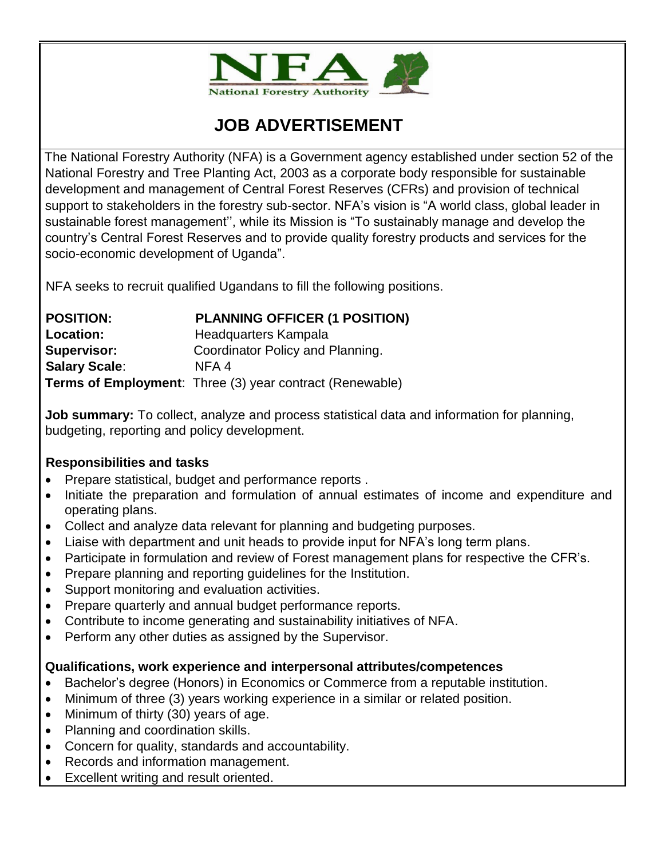

# **JOB ADVERTISEMENT**

The National Forestry Authority (NFA) is a Government agency established under section 52 of the National Forestry and Tree Planting Act, 2003 as a corporate body responsible for sustainable development and management of Central Forest Reserves (CFRs) and provision of technical support to stakeholders in the forestry sub-sector. NFA's vision is "A world class, global leader in sustainable forest management'', while its Mission is "To sustainably manage and develop the country's Central Forest Reserves and to provide quality forestry products and services for the socio-economic development of Uganda".

NFA seeks to recruit qualified Ugandans to fill the following positions.

| <b>POSITION:</b>     | <b>PLANNING OFFICER (1 POSITION)</b>                     |
|----------------------|----------------------------------------------------------|
| Location:            | Headquarters Kampala                                     |
| <b>Supervisor:</b>   | Coordinator Policy and Planning.                         |
| <b>Salary Scale:</b> | NFA 4                                                    |
|                      | Terms of Employment: Three (3) year contract (Renewable) |

**Job summary:** To collect, analyze and process statistical data and information for planning, budgeting, reporting and policy development.

### **Responsibilities and tasks**

- Prepare statistical, budget and performance reports.
- Initiate the preparation and formulation of annual estimates of income and expenditure and operating plans.
- Collect and analyze data relevant for planning and budgeting purposes.
- Liaise with department and unit heads to provide input for NFA's long term plans.
- Participate in formulation and review of Forest management plans for respective the CFR's.
- Prepare planning and reporting quidelines for the Institution.
- Support monitoring and evaluation activities.
- Prepare quarterly and annual budget performance reports.
- Contribute to income generating and sustainability initiatives of NFA.
- Perform any other duties as assigned by the Supervisor.

# **Qualifications, work experience and interpersonal attributes/competences**

- Bachelor's degree (Honors) in Economics or Commerce from a reputable institution.
- Minimum of three (3) years working experience in a similar or related position.
- Minimum of thirty (30) years of age.
- Planning and coordination skills.
- Concern for quality, standards and accountability.
- Records and information management.
- Excellent writing and result oriented.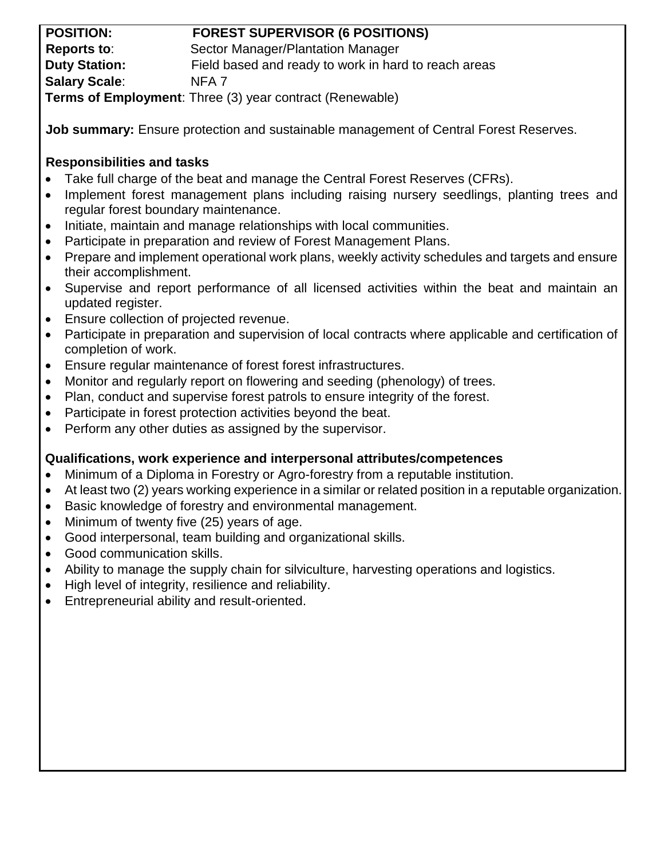| <b>POSITION:</b>                                                | <b>FOREST SUPERVISOR (6 POSITIONS)</b>               |
|-----------------------------------------------------------------|------------------------------------------------------|
| Reports to:                                                     | Sector Manager/Plantation Manager                    |
| <b>Duty Station:</b>                                            | Field based and ready to work in hard to reach areas |
| <b>Salary Scale:</b>                                            | NFA <sub>7</sub>                                     |
| <b>Terms of Employment:</b> Three (3) year contract (Renewable) |                                                      |

**Job summary:** Ensure protection and sustainable management of Central Forest Reserves.

## **Responsibilities and tasks**

- Take full charge of the beat and manage the Central Forest Reserves (CFRs).
- Implement forest management plans including raising nursery seedlings, planting trees and regular forest boundary maintenance.
- Initiate, maintain and manage relationships with local communities.
- Participate in preparation and review of Forest Management Plans.
- Prepare and implement operational work plans, weekly activity schedules and targets and ensure their accomplishment.
- Supervise and report performance of all licensed activities within the beat and maintain an updated register.
- Ensure collection of projected revenue.
- Participate in preparation and supervision of local contracts where applicable and certification of completion of work.
- Ensure regular maintenance of forest forest infrastructures.
- Monitor and regularly report on flowering and seeding (phenology) of trees.
- Plan, conduct and supervise forest patrols to ensure integrity of the forest.
- Participate in forest protection activities beyond the beat.
- Perform any other duties as assigned by the supervisor.

# **Qualifications, work experience and interpersonal attributes/competences**

- Minimum of a Diploma in Forestry or Agro-forestry from a reputable institution.
- At least two (2) years working experience in a similar or related position in a reputable organization.
- Basic knowledge of forestry and environmental management.
- Minimum of twenty five (25) years of age.
- Good interpersonal, team building and organizational skills.
- Good communication skills.
- Ability to manage the supply chain for silviculture, harvesting operations and logistics.
- High level of integrity, resilience and reliability.
- Entrepreneurial ability and result-oriented.